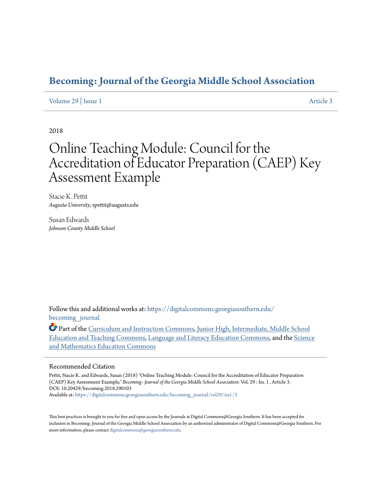## **[Becoming: Journal of the Georgia Middle School Association](https://digitalcommons.georgiasouthern.edu/becoming_journal?utm_source=digitalcommons.georgiasouthern.edu%2Fbecoming_journal%2Fvol29%2Fiss1%2F3&utm_medium=PDF&utm_campaign=PDFCoverPages)**

#### [Volume 29](https://digitalcommons.georgiasouthern.edu/becoming_journal/vol29?utm_source=digitalcommons.georgiasouthern.edu%2Fbecoming_journal%2Fvol29%2Fiss1%2F3&utm_medium=PDF&utm_campaign=PDFCoverPages) | [Issue 1](https://digitalcommons.georgiasouthern.edu/becoming_journal/vol29/iss1?utm_source=digitalcommons.georgiasouthern.edu%2Fbecoming_journal%2Fvol29%2Fiss1%2F3&utm_medium=PDF&utm_campaign=PDFCoverPages) [Article 3](https://digitalcommons.georgiasouthern.edu/becoming_journal/vol29/iss1/3?utm_source=digitalcommons.georgiasouthern.edu%2Fbecoming_journal%2Fvol29%2Fiss1%2F3&utm_medium=PDF&utm_campaign=PDFCoverPages)

2018

# Online Teaching Module: Council for the Accreditation of Educator Preparation (CAEP) Key Assessment Example

Stacie K. Pettit *Augusta University*, spettit@augusta.edu

Susan Edwards *Johnson County Middle School*

Follow this and additional works at: [https://digitalcommons.georgiasouthern.edu/](https://digitalcommons.georgiasouthern.edu/becoming_journal?utm_source=digitalcommons.georgiasouthern.edu%2Fbecoming_journal%2Fvol29%2Fiss1%2F3&utm_medium=PDF&utm_campaign=PDFCoverPages) becoming journal

Part of the [Curriculum and Instruction Commons](http://network.bepress.com/hgg/discipline/786?utm_source=digitalcommons.georgiasouthern.edu%2Fbecoming_journal%2Fvol29%2Fiss1%2F3&utm_medium=PDF&utm_campaign=PDFCoverPages), [Junior High, Intermediate, Middle School](http://network.bepress.com/hgg/discipline/807?utm_source=digitalcommons.georgiasouthern.edu%2Fbecoming_journal%2Fvol29%2Fiss1%2F3&utm_medium=PDF&utm_campaign=PDFCoverPages) [Education and Teaching Commons,](http://network.bepress.com/hgg/discipline/807?utm_source=digitalcommons.georgiasouthern.edu%2Fbecoming_journal%2Fvol29%2Fiss1%2F3&utm_medium=PDF&utm_campaign=PDFCoverPages) [Language and Literacy Education Commons,](http://network.bepress.com/hgg/discipline/1380?utm_source=digitalcommons.georgiasouthern.edu%2Fbecoming_journal%2Fvol29%2Fiss1%2F3&utm_medium=PDF&utm_campaign=PDFCoverPages) and the [Science](http://network.bepress.com/hgg/discipline/800?utm_source=digitalcommons.georgiasouthern.edu%2Fbecoming_journal%2Fvol29%2Fiss1%2F3&utm_medium=PDF&utm_campaign=PDFCoverPages) [and Mathematics Education Commons](http://network.bepress.com/hgg/discipline/800?utm_source=digitalcommons.georgiasouthern.edu%2Fbecoming_journal%2Fvol29%2Fiss1%2F3&utm_medium=PDF&utm_campaign=PDFCoverPages)

#### Recommended Citation

Pettit, Stacie K. and Edwards, Susan (2018) "Online Teaching Module: Council for the Accreditation of Educator Preparation (CAEP) Key Assessment Example," *Becoming: Journal of the Georgia Middle School Association*: Vol. 29 : Iss. 1 , Article 3. DOI: 10.20429/becoming.2018.290103 Available at: [https://digitalcommons.georgiasouthern.edu/becoming\\_journal/vol29/iss1/3](https://digitalcommons.georgiasouthern.edu/becoming_journal/vol29/iss1/3?utm_source=digitalcommons.georgiasouthern.edu%2Fbecoming_journal%2Fvol29%2Fiss1%2F3&utm_medium=PDF&utm_campaign=PDFCoverPages)

This best practices is brought to you for free and open access by the Journals at Digital Commons@Georgia Southern. It has been accepted for inclusion in Becoming: Journal of the Georgia Middle School Association by an authorized administrator of Digital Commons@Georgia Southern. For more information, please contact [digitalcommons@georgiasouthern.edu.](mailto:digitalcommons@georgiasouthern.edu)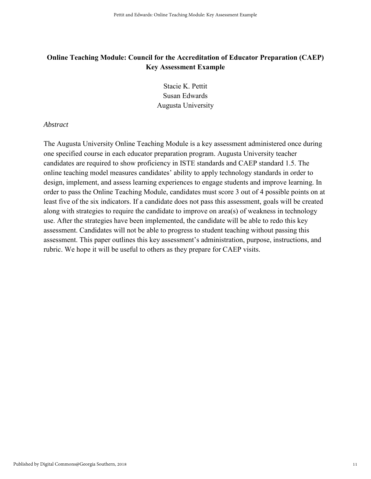## **Online Teaching Module: Council for the Accreditation of Educator Preparation (CAEP) Key Assessment Example**

Stacie K. Pettit Susan Edwards Augusta University

#### *Abstract*

The Augusta University Online Teaching Module is a key assessment administered once during one specified course in each educator preparation program. Augusta University teacher candidates are required to show proficiency in ISTE standards and CAEP standard 1.5. The online teaching model measures candidates' ability to apply technology standards in order to design, implement, and assess learning experiences to engage students and improve learning. In order to pass the Online Teaching Module, candidates must score 3 out of 4 possible points on at least five of the six indicators. If a candidate does not pass this assessment, goals will be created along with strategies to require the candidate to improve on area(s) of weakness in technology use. After the strategies have been implemented, the candidate will be able to redo this key assessment. Candidates will not be able to progress to student teaching without passing this assessment. This paper outlines this key assessment's administration, purpose, instructions, and rubric. We hope it will be useful to others as they prepare for CAEP visits.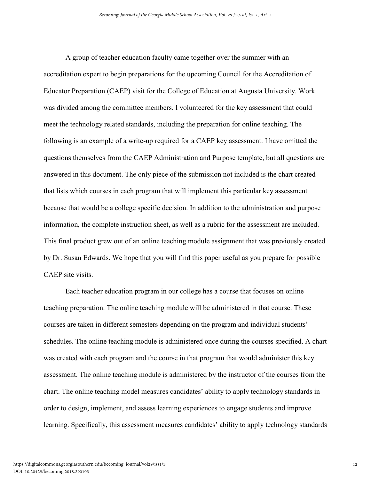A group of teacher education faculty came together over the summer with an accreditation expert to begin preparations for the upcoming Council for the Accreditation of Educator Preparation (CAEP) visit for the College of Education at Augusta University. Work was divided among the committee members. I volunteered for the key assessment that could meet the technology related standards, including the preparation for online teaching. The following is an example of a write-up required for a CAEP key assessment. I have omitted the questions themselves from the CAEP Administration and Purpose template, but all questions are answered in this document. The only piece of the submission not included is the chart created that lists which courses in each program that will implement this particular key assessment because that would be a college specific decision. In addition to the administration and purpose information, the complete instruction sheet, as well as a rubric for the assessment are included. This final product grew out of an online teaching module assignment that was previously created by Dr. Susan Edwards. We hope that you will find this paper useful as you prepare for possible CAEP site visits.

Each teacher education program in our college has a course that focuses on online teaching preparation. The online teaching module will be administered in that course. These courses are taken in different semesters depending on the program and individual students' schedules. The online teaching module is administered once during the courses specified. A chart was created with each program and the course in that program that would administer this key assessment. The online teaching module is administered by the instructor of the courses from the chart. The online teaching model measures candidates' ability to apply technology standards in order to design, implement, and assess learning experiences to engage students and improve learning. Specifically, this assessment measures candidates' ability to apply technology standards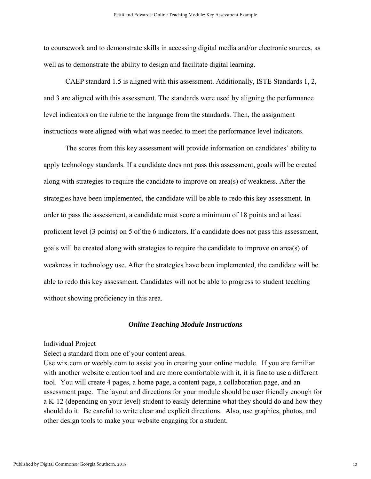to coursework and to demonstrate skills in accessing digital media and/or electronic sources, as well as to demonstrate the ability to design and facilitate digital learning.

CAEP standard 1.5 is aligned with this assessment. Additionally, ISTE Standards 1, 2, and 3 are aligned with this assessment. The standards were used by aligning the performance level indicators on the rubric to the language from the standards. Then, the assignment instructions were aligned with what was needed to meet the performance level indicators.

The scores from this key assessment will provide information on candidates' ability to apply technology standards. If a candidate does not pass this assessment, goals will be created along with strategies to require the candidate to improve on area(s) of weakness. After the strategies have been implemented, the candidate will be able to redo this key assessment. In order to pass the assessment, a candidate must score a minimum of 18 points and at least proficient level (3 points) on 5 of the 6 indicators. If a candidate does not pass this assessment, goals will be created along with strategies to require the candidate to improve on area(s) of weakness in technology use. After the strategies have been implemented, the candidate will be able to redo this key assessment. Candidates will not be able to progress to student teaching without showing proficiency in this area.

#### *Online Teaching Module Instructions*

#### Individual Project

Select a standard from one of your content areas.

Use wix.com or weebly.com to assist you in creating your online module. If you are familiar with another website creation tool and are more comfortable with it, it is fine to use a different tool. You will create 4 pages, a home page, a content page, a collaboration page, and an assessment page. The layout and directions for your module should be user friendly enough for a K-12 (depending on your level) student to easily determine what they should do and how they should do it. Be careful to write clear and explicit directions. Also, use graphics, photos, and other design tools to make your website engaging for a student.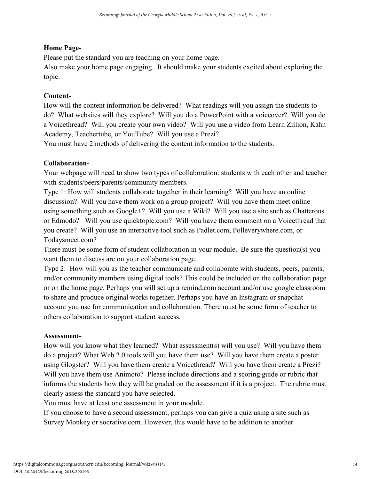## **Home Page-**

Please put the standard you are teaching on your home page.

Also make your home page engaging. It should make your students excited about exploring the topic.

## **Content-**

How will the content information be delivered? What readings will you assign the students to do? What websites will they explore? Will you do a PowerPoint with a voiceover? Will you do a Voicethread? Will you create your own video? Will you use a video from Learn Zillion, Kahn Academy, Teachertube, or YouTube? Will you use a Prezi?

You must have 2 methods of delivering the content information to the students.

## **Collaboration-**

Your webpage will need to show two types of collaboration: students with each other and teacher with students/peers/parents/community members.

Type 1: How will students collaborate together in their learning? Will you have an online discussion? Will you have them work on a group project? Will you have them meet online using something such as Google+? Will you use a Wiki? Will you use a site such as Chatterous or Edmodo? Will you use quicktopic.com? Will you have them comment on a Voicethread that you create? Will you use an interactive tool such as Padlet.com, Polleverywhere.com, or Todaysmeet.com?

There must be some form of student collaboration in your module. Be sure the question(s) you want them to discuss are on your collaboration page.

Type 2: How will you as the teacher communicate and collaborate with students, peers, parents, and/or community members using digital tools? This could be included on the collaboration page or on the home page. Perhaps you will set up a remind.com account and/or use google classroom to share and produce original works together. Perhaps you have an Instagram or snapchat account you use for communication and collaboration. There must be some form of teacher to others collaboration to support student success.

## **Assessment-**

How will you know what they learned? What assessment(s) will you use? Will you have them do a project? What Web 2.0 tools will you have them use? Will you have them create a poster using Glogster? Will you have them create a Voicethread? Will you have them create a Prezi? Will you have them use Animoto? Please include directions and a scoring guide or rubric that informs the students how they will be graded on the assessment if it is a project. The rubric must clearly assess the standard you have selected.

You must have at least one assessment in your module.

If you choose to have a second assessment, perhaps you can give a quiz using a site such as Survey Monkey or socrative.com. However, this would have to be addition to another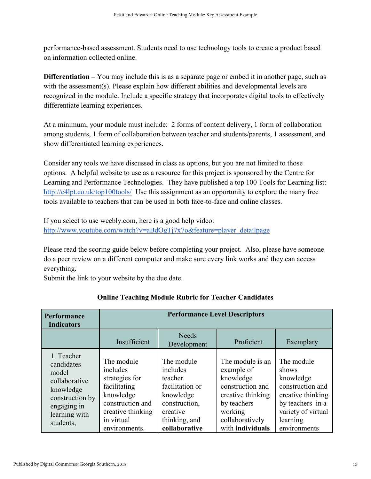performance-based assessment. Students need to use technology tools to create a product based on information collected online.

**Differentiation –** You may include this is as a separate page or embed it in another page, such as with the assessment(s). Please explain how different abilities and developmental levels are recognized in the module. Include a specific strategy that incorporates digital tools to effectively differentiate learning experiences.

At a minimum, your module must include: 2 forms of content delivery, 1 form of collaboration among students, 1 form of collaboration between teacher and students/parents, 1 assessment, and show differentiated learning experiences.

Consider any tools we have discussed in class as options, but you are not limited to those options. A helpful website to use as a resource for this project is sponsored by the Centre for Learning and Performance Technologies. They have published a top 100 Tools for Learning list: <http://c4lpt.co.uk/top100tools/>Use this assignment as an opportunity to explore the many free tools available to teachers that can be used in both face-to-face and online classes.

If you select to use weebly.com, here is a good help video[:](http://www.youtube.com/watch?v=aBdOgTj7x7o&feature=player_detailpage) [http://www.youtube.com/watch?v=aBdOgTj7x7o&feature=player\\_detailpage](http://www.youtube.com/watch?v=aBdOgTj7x7o&feature=player_detailpage)

Please read the scoring guide below before completing your project. Also, please have someone do a peer review on a different computer and make sure every link works and they can access everything.

Submit the link to your website by the due date.

| Performance<br><b>Indicators</b>                                                                                                | <b>Performance Level Descriptors</b>                                                                                                          |                                                                                                                                  |                                                                                                                                                       |                                                                                                                                                 |
|---------------------------------------------------------------------------------------------------------------------------------|-----------------------------------------------------------------------------------------------------------------------------------------------|----------------------------------------------------------------------------------------------------------------------------------|-------------------------------------------------------------------------------------------------------------------------------------------------------|-------------------------------------------------------------------------------------------------------------------------------------------------|
|                                                                                                                                 | Insufficient                                                                                                                                  | <b>Needs</b><br>Development                                                                                                      | Proficient                                                                                                                                            | Exemplary                                                                                                                                       |
| 1. Teacher<br>candidates<br>model<br>collaborative<br>knowledge<br>construction by<br>engaging in<br>learning with<br>students. | The module<br>includes<br>strategies for<br>facilitating<br>knowledge<br>construction and<br>creative thinking<br>in virtual<br>environments. | The module<br>includes<br>teacher<br>facilitation or<br>knowledge<br>construction,<br>creative<br>thinking, and<br>collaborative | The module is an<br>example of<br>knowledge<br>construction and<br>creative thinking<br>by teachers<br>working<br>collaboratively<br>with individuals | The module<br>shows<br>knowledge<br>construction and<br>creative thinking<br>by teachers in a<br>variety of virtual<br>learning<br>environments |

## **Online Teaching Module Rubric for Teacher Candidates**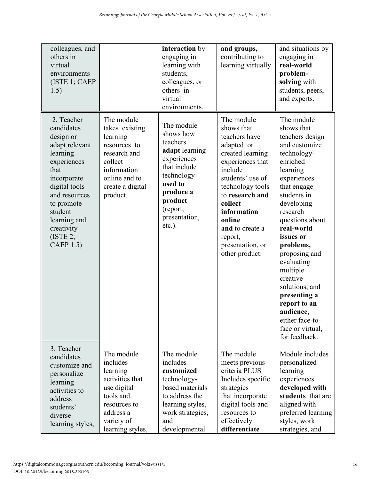| colleagues, and<br>others in<br>virtual<br>environments<br>(ISTE 1; CAEP)<br>1.5)                                                                                                                                              |                                                                                                                                                     | interaction by<br>engaging in<br>learning with<br>students,<br>colleagues, or<br>others in<br>virtual<br>environments.                                                          | and groups,<br>contributing to<br>learning virtually.                                                                                                                                                                                                                         | and situations by<br>engaging in<br>real-world<br>problem-<br>solving with<br>students, peers,<br>and experts.                                                                                                                                                                                                                                                                                                     |
|--------------------------------------------------------------------------------------------------------------------------------------------------------------------------------------------------------------------------------|-----------------------------------------------------------------------------------------------------------------------------------------------------|---------------------------------------------------------------------------------------------------------------------------------------------------------------------------------|-------------------------------------------------------------------------------------------------------------------------------------------------------------------------------------------------------------------------------------------------------------------------------|--------------------------------------------------------------------------------------------------------------------------------------------------------------------------------------------------------------------------------------------------------------------------------------------------------------------------------------------------------------------------------------------------------------------|
| 2. Teacher<br>candidates<br>design or<br>adapt relevant<br>learning<br>experiences<br>that<br>incorporate<br>digital tools<br>and resources<br>to promote<br>student<br>learning and<br>creativity<br>$($ ISTE 2;<br>CAEP 1.5) | The module<br>takes existing<br>learning<br>resources to<br>research and<br>collect<br>information<br>online and to<br>create a digital<br>product. | The module<br>shows how<br>teachers<br>adapt learning<br>experiences<br>that include<br>technology<br>used to<br>produce a<br>product<br>(report,<br>presentation,<br>$etc.$ ). | The module<br>shows that<br>teachers have<br>adapted or<br>created learning<br>experiences that<br>include<br>students' use of<br>technology tools<br>to research and<br>collect<br>information<br>online<br>and to create a<br>report,<br>presentation, or<br>other product. | The module<br>shows that<br>teachers design<br>and customize<br>technology-<br>enriched<br>learning<br>experiences<br>that engage<br>students in<br>developing<br>research<br>questions about<br>real-world<br>issues or<br>problems,<br>proposing and<br>evaluating<br>multiple<br>creative<br>solutions, and<br>presenting a<br>report to an<br>audience<br>either face-to-<br>face or virtual,<br>for feedback. |
| 3. Teacher<br>candidates<br>customize and<br>personalize<br>learning<br>activities to<br>address<br>students'<br>diverse<br>learning styles,                                                                                   | The module<br>includes<br>learning<br>activities that<br>use digital<br>tools and<br>resources to<br>address a<br>variety of<br>learning styles,    | The module<br>includes<br>customized<br>technology-<br>based materials<br>to address the<br>learning styles,<br>work strategies,<br>and<br>developmental                        | The module<br>meets previous<br>criteria PLUS<br>Includes specific<br>strategies<br>that incorporate<br>digital tools and<br>resources to<br>effectively<br>differentiate                                                                                                     | Module includes<br>personalized<br>learning<br>experiences<br>developed with<br>students that are<br>aligned with<br>preferred learning<br>styles, work<br>strategies, and                                                                                                                                                                                                                                         |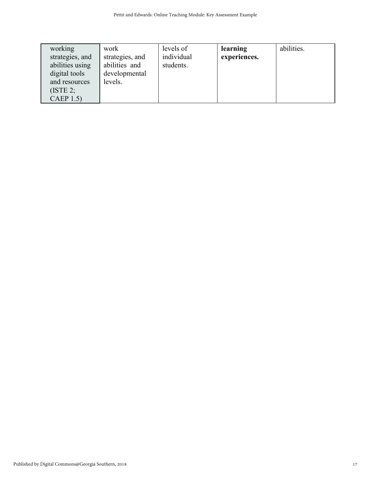| working<br>work<br>strategies, and<br>abilities using<br>digital tools<br>and resources<br>(ISTE 2;<br><b>CAEP 1.5)</b> | strategies, and<br>abilities and<br>developmental<br>levels. | levels of<br>individual<br>students. | learning<br>experiences. | abilities. |
|-------------------------------------------------------------------------------------------------------------------------|--------------------------------------------------------------|--------------------------------------|--------------------------|------------|
|-------------------------------------------------------------------------------------------------------------------------|--------------------------------------------------------------|--------------------------------------|--------------------------|------------|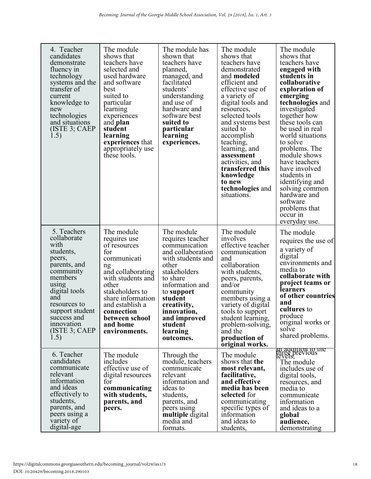| 4. Teacher<br>candidates<br>demonstrate<br>fluency in<br>technology<br>systems and the<br>transfer of<br>current<br>knowledge to<br>new<br>technologies<br>and situations<br>(ISTE 3; CAEP<br>1.5)                           | The module<br>shows that<br>teachers have<br>selected and<br>used hardware<br>and software<br>best<br>suited to<br>particular<br>learning<br>experiences<br>and plan<br>student<br>learning<br>experiences that<br>appropriately use<br>these tools. | The module has<br>shown that<br>teachers have<br>planned,<br>managed, and<br>facilitated<br>students'<br>understanding<br>and use of<br>hardware and<br>software best<br>suited to<br>particular<br>learning<br>experiences.                                 | The module<br>shows that<br>teachers have<br>demonstrated<br>and modeled<br>efficient and<br>effective use of<br>a variety of<br>digital tools and<br>resources,<br>selected tools<br>and systems best<br>suited to<br>accomplish<br>teaching,<br>learning, and<br>assessment<br>activities, and<br>transferred this<br>knowledge<br>to new<br>technologies and<br>situations. | The module<br>shows that<br>teachers have<br>engaged with<br>students in<br>collaborative<br>exploration of<br>emerging<br>technologies and<br>investigated<br>together how<br>these tools can<br>be used in real<br>world situations<br>to solve<br>problems. The<br>module shows<br>have teachers<br>have involved<br>students in<br>identifying and<br>solving common<br>hardware and<br>software<br>problems that<br>occur in<br>everyday use. |
|------------------------------------------------------------------------------------------------------------------------------------------------------------------------------------------------------------------------------|------------------------------------------------------------------------------------------------------------------------------------------------------------------------------------------------------------------------------------------------------|--------------------------------------------------------------------------------------------------------------------------------------------------------------------------------------------------------------------------------------------------------------|--------------------------------------------------------------------------------------------------------------------------------------------------------------------------------------------------------------------------------------------------------------------------------------------------------------------------------------------------------------------------------|----------------------------------------------------------------------------------------------------------------------------------------------------------------------------------------------------------------------------------------------------------------------------------------------------------------------------------------------------------------------------------------------------------------------------------------------------|
| 5. Teachers<br>collaborate<br>with<br>students,<br>peers,<br>parents, and<br>community<br>members<br>using<br>digital tools<br>and<br>resources to<br>support student<br>success and<br>innovation<br>(ISTE 3; CAEP)<br>1.5) | The module<br>requires use<br>of resources<br>for<br>communicati<br>ng<br>and collaborating<br>with students and<br>other<br>stakeholders to<br>share information<br>and establish a<br>connection<br>between school<br>and home<br>environments.    | The module<br>requires teacher<br>communication<br>and collaboration<br>with students and<br>other<br>stakeholders<br>to share<br>information and<br>to support<br>student<br>creativity,<br>innovation,<br>and improved<br>student<br>learning<br>outcomes. | The module<br>involves<br>effective teacher<br>communication<br>and<br>collaboration<br>with students,<br>peers, parents,<br>$\text{and/or}$<br>community<br>members using a<br>variety of digital<br>tools to support<br>student learning,<br>problem-solving,<br>and the<br>production of<br>original works.                                                                 | The module<br>requires the use of<br>a variety of<br>digital<br>environments and<br>media to<br>collaborate with<br>project teams or<br><b>learners</b><br>of other countries<br>and<br>cultures to<br>produce<br>original works or<br>solve<br>shared problems.                                                                                                                                                                                   |
| 6. Teacher<br>candidates<br>communicate<br>relevant<br>information<br>and ideas<br>effectively to<br>students,<br>parents, and<br>peers using a<br>variety of<br>digital-age                                                 | The module<br>includes<br>effective use of<br>digital resources<br>for<br>communicating<br>with students,<br>parents, and<br>peers.                                                                                                                  | Through the<br>module, teachers<br>communicate<br>relevant<br>information and<br>ideas to<br>students,<br>parents, and<br>peers using<br>multiple digital<br>media and<br>formats.                                                                           | The module<br>shows that the<br>most relevant,<br>facilitative,<br>and effective<br>media has been<br>selected for<br>communicating<br>specific types of<br>information<br>and ideas to<br>students,                                                                                                                                                                           | in adqition to the<br>three previous<br>levels,<br>The module<br>includes use of<br>digital tools,<br>resources, and<br>media to<br>communicate<br>information<br>and ideas to a<br>global<br>audience,<br>demonstrating                                                                                                                                                                                                                           |